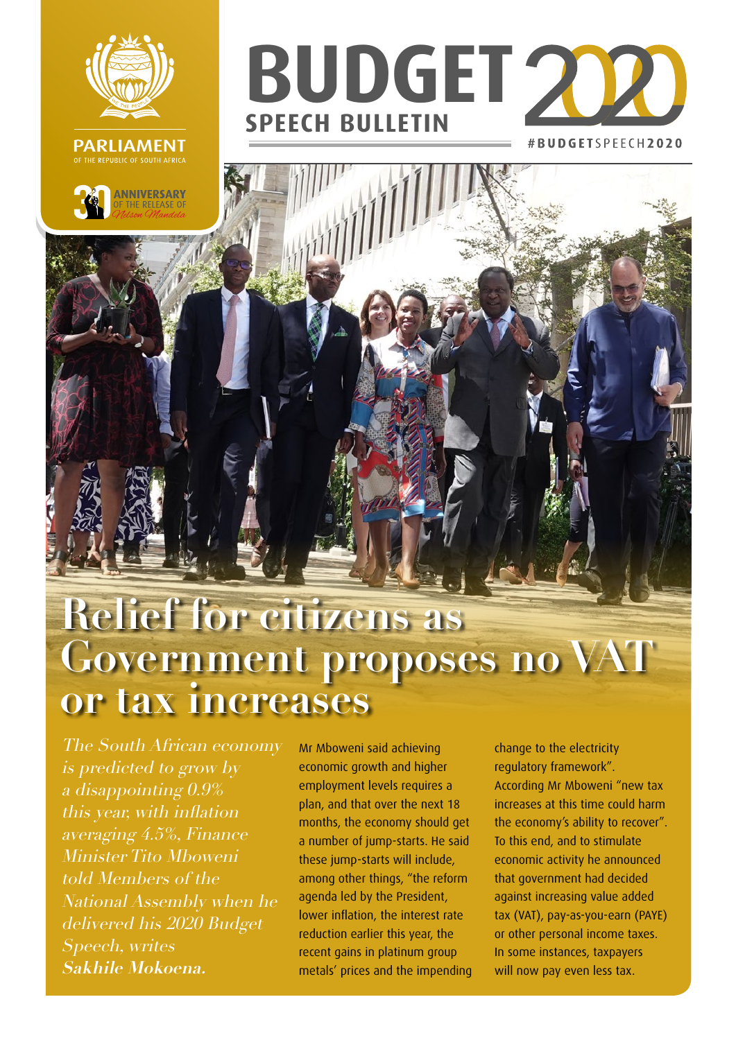





## **Relief for citizens as Government proposes no VAT or tax increases**

The South African economy is predicted to grow by a disappointing 0.9% this year, with inflation averaging 4.5%, Finance Minister Tito Mboweni told Members of the National Assembly when he delivered his 2020 Budget Speech, writes **Sakhile Mokoena.**

Mr Mboweni said achieving economic growth and higher employment levels requires a plan, and that over the next 18 months, the economy should get a number of jump-starts. He said these jump-starts will include, among other things, "the reform agenda led by the President, lower inflation, the interest rate reduction earlier this year, the recent gains in platinum group metals' prices and the impending change to the electricity regulatory framework". According Mr Mboweni "new tax increases at this time could harm the economy's ability to recover". To this end, and to stimulate economic activity he announced that government had decided against increasing value added tax (VAT), pay-as-you-earn (PAYE) or other personal income taxes. In some instances, taxpayers will now pay even less tax.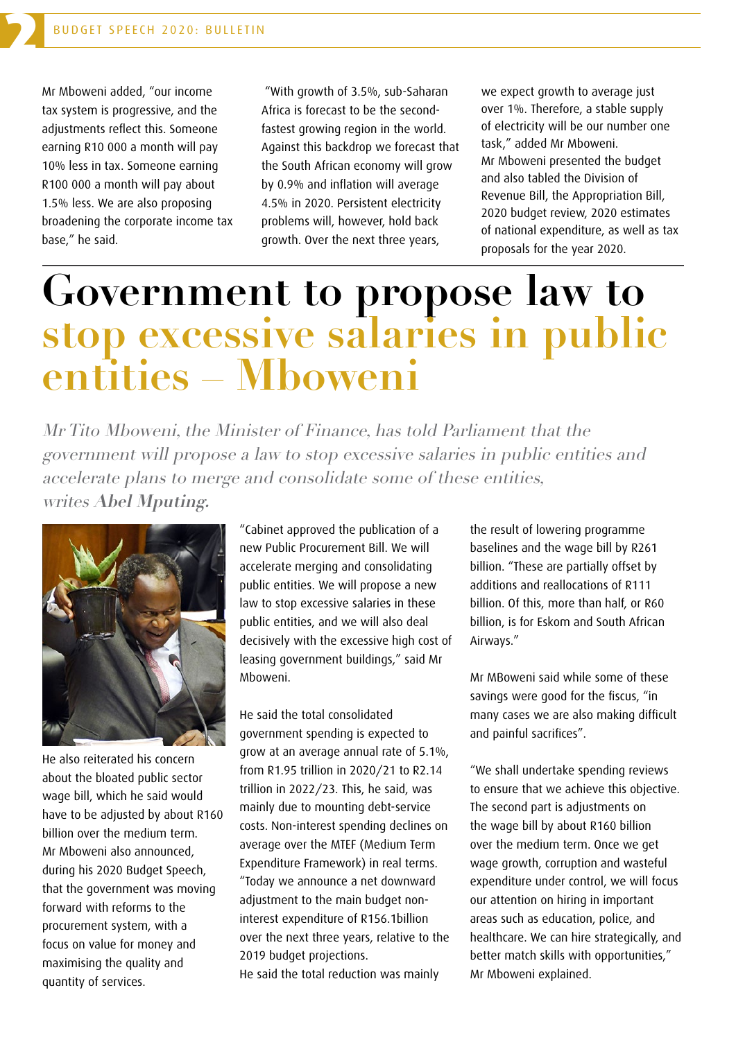2

Mr Mboweni added, "our income tax system is progressive, and the adjustments reflect this. Someone earning R10 000 a month will pay 10% less in tax. Someone earning R100 000 a month will pay about 1.5% less. We are also proposing broadening the corporate income tax base," he said.

 "With growth of 3.5%, sub-Saharan Africa is forecast to be the secondfastest growing region in the world. Against this backdrop we forecast that the South African economy will grow by 0.9% and inflation will average 4.5% in 2020. Persistent electricity problems will, however, hold back growth. Over the next three years,

we expect growth to average just over 1%. Therefore, a stable supply of electricity will be our number one task," added Mr Mboweni. Mr Mboweni presented the budget and also tabled the Division of Revenue Bill, the Appropriation Bill, 2020 budget review, 2020 estimates of national expenditure, as well as tax proposals for the year 2020.

## **Government to propose law to stop excessive salaries in public entities – Mboweni**

Mr Tito Mboweni, the Minister of Finance, has told Parliament that the government will propose a law to stop excessive salaries in public entities and accelerate plans to merge and consolidate some of these entities, writes **Abel Mputing.**



He also reiterated his concern about the bloated public sector wage bill, which he said would have to be adjusted by about R160 billion over the medium term. Mr Mboweni also announced, during his 2020 Budget Speech, that the government was moving forward with reforms to the procurement system, with a focus on value for money and maximising the quality and quantity of services.

"Cabinet approved the publication of a new Public Procurement Bill. We will accelerate merging and consolidating public entities. We will propose a new law to stop excessive salaries in these public entities, and we will also deal decisively with the excessive high cost of leasing government buildings," said Mr Mboweni.

He said the total consolidated government spending is expected to grow at an average annual rate of 5.1%, from R1.95 trillion in 2020/21 to R2.14 trillion in 2022/23. This, he said, was mainly due to mounting debt-service costs. Non-interest spending declines on average over the MTEF (Medium Term Expenditure Framework) in real terms. "Today we announce a net downward adjustment to the main budget noninterest expenditure of R156.1billion over the next three years, relative to the 2019 budget projections. He said the total reduction was mainly

the result of lowering programme baselines and the wage bill by R261 billion. "These are partially offset by additions and reallocations of R111 billion. Of this, more than half, or R60 billion, is for Eskom and South African Airways."

Mr MBoweni said while some of these savings were good for the fiscus, "in many cases we are also making difficult and painful sacrifices".

"We shall undertake spending reviews to ensure that we achieve this objective. The second part is adjustments on the wage bill by about R160 billion over the medium term. Once we get wage growth, corruption and wasteful expenditure under control, we will focus our attention on hiring in important areas such as education, police, and healthcare. We can hire strategically, and better match skills with opportunities," Mr Mboweni explained.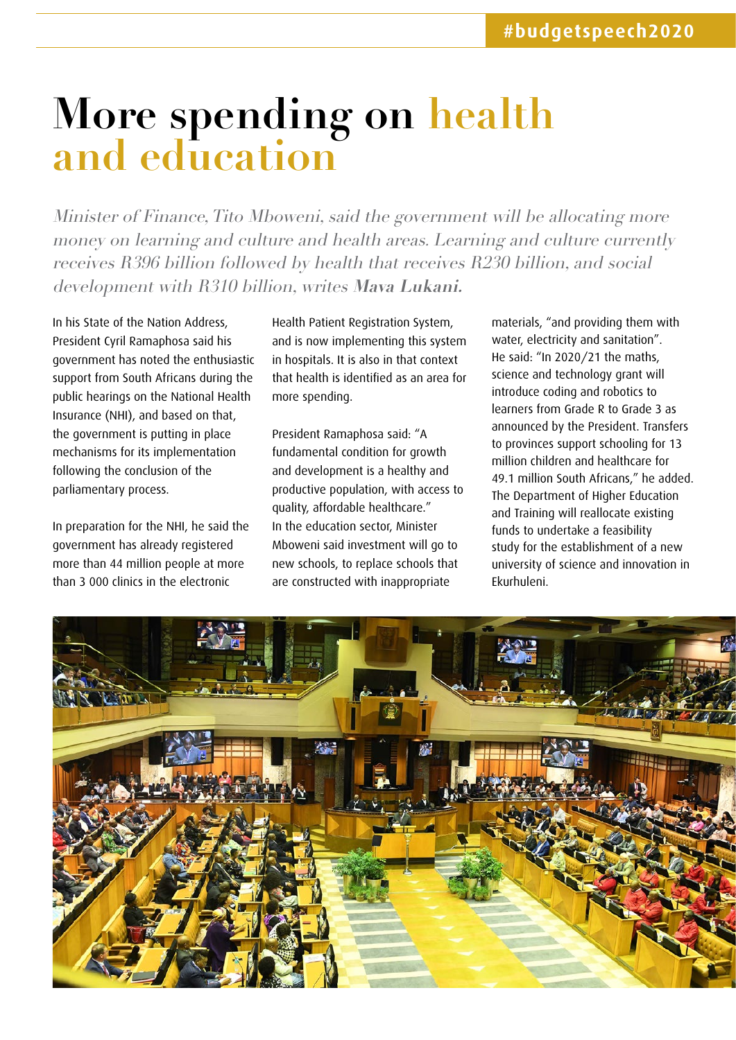## **More spending on health and education**

Minister of Finance, Tito Mboweni, said the government will be allocating more money on learning and culture and health areas. Learning and culture currently receives R396 billion followed by health that receives R230 billion, and social development with R310 billion, writes **Mava Lukani.** 

In his State of the Nation Address, President Cyril Ramaphosa said his government has noted the enthusiastic support from South Africans during the public hearings on the National Health Insurance (NHI), and based on that, the government is putting in place mechanisms for its implementation following the conclusion of the parliamentary process.

In preparation for the NHI, he said the government has already registered more than 44 million people at more than 3 000 clinics in the electronic

Health Patient Registration System, and is now implementing this system in hospitals. It is also in that context that health is identified as an area for more spending.

President Ramaphosa said: "A fundamental condition for growth and development is a healthy and productive population, with access to quality, affordable healthcare." In the education sector, Minister Mboweni said investment will go to new schools, to replace schools that are constructed with inappropriate

materials, "and providing them with water, electricity and sanitation". He said: "In 2020/21 the maths, science and technology grant will introduce coding and robotics to learners from Grade R to Grade 3 as announced by the President. Transfers to provinces support schooling for 13 million children and healthcare for 49.1 million South Africans," he added. The Department of Higher Education and Training will reallocate existing funds to undertake a feasibility study for the establishment of a new university of science and innovation in Ekurhuleni.